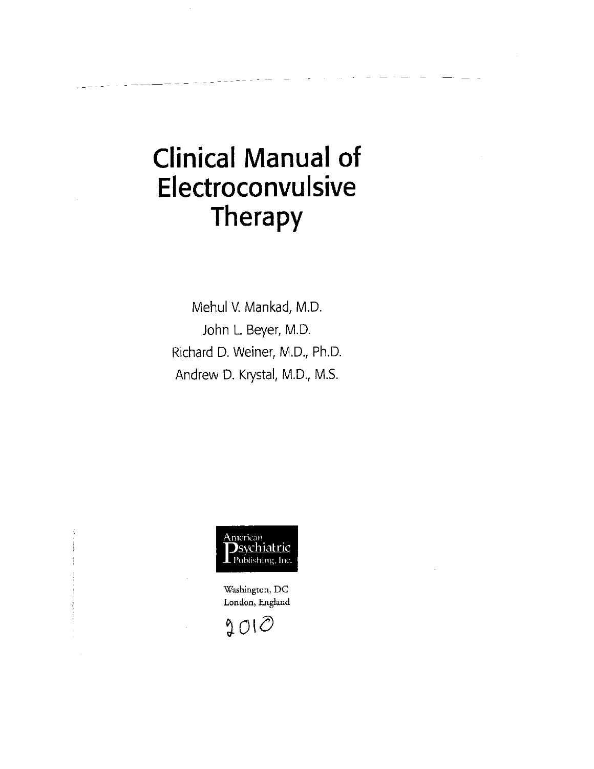## **Clinical Manual of Electroconvulsive Therapy**

Mehul V. Mankad, M.D. John L. Beyer, M.D. Richard D. Weiner, M.D., Ph.D. Andrew D. Krystal, M.D., M.S.



Washington, DC London, England